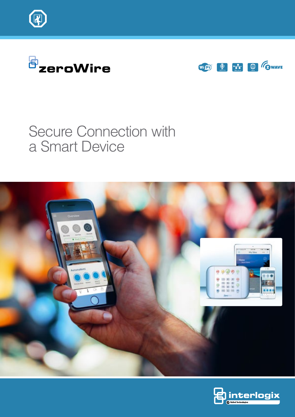





# Secure Connection with a Smart Device



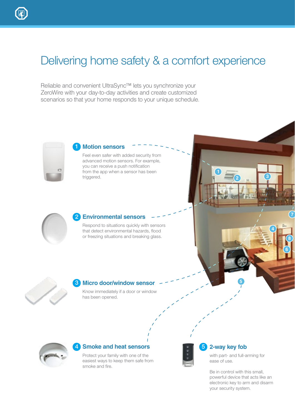# Delivering home safety & a comfort experience

Reliable and convenient UltraSync™ lets you synchronize your ZeroWire with your day-to-day activities and create customized scenarios so that your home responds to your unique schedule.



#### **Motion sensors** 1

Feel even safer with added security from advanced motion sensors. For example, you can receive a push notification from the app when a sensor has been triggered.



#### **Environmental sensors** 2

Respond to situations quickly with sensors that detect environmental hazards, flood or freezing situations and breaking glass.



#### **Micro door/window sensor** 3

Know immediately if a door or window has been opened.



#### **A** Smoke and heat sensors **1999 5**

Protect your family with one of the easiest ways to keep them safe from smoke and fire.



#### **2-way key fob**

with part- and full-arming for ease of use.

**5**

**2**

**3**

**4**

**7**

**8**

**6**

Be in control with this small, powerful device that acts like an electronic key to arm and disarm your security system.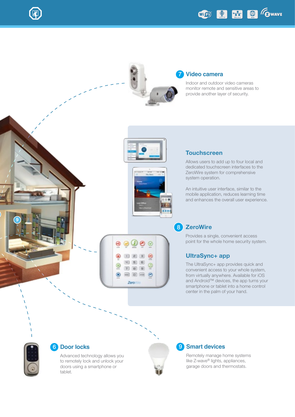

#### **Video camera** 7

Indoor and outdoor video cameras monitor remote and sensitive areas to provide another layer of security.

WIED SO THE G GWAVE





 $\odot$ 

Θ

ġ

 $\rightarrow$  $\vert$  and  $(38)$  $4350$ 

ö

 $7000$  $= 0 = 0$ 

Zerovi

## **Touchscreen**

Allows users to add up to four local and dedicated touchscreen interfaces to the ZeroWire system for comprehensive system operation.

An intuitive user interface, similar to the mobile application, reduces learning time and enhances the overall user experience.

### 8 ZeroWire

Provides a single, convenient access point for the whole home security system.

#### UltraSync+ app

The UltraSync+ app provides quick and convenient access to your whole system, from virtually anywhere. Available for iOS and Android™ devices, the app turns your smartphone or tablet into a home control center in the palm of your hand.



**9**

### **6** Door locks

Advanced technology allows you to remotely lock and unlock your doors using a smartphone or tablet.



#### **9** Smart devices

Remotely manage home systems like Z-wave® lights, appliances, garage doors and thermostats.